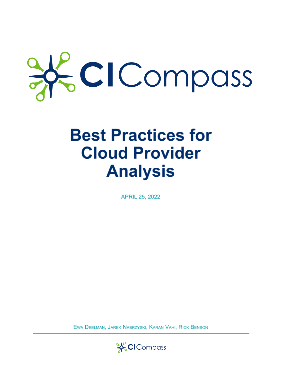# KCICompass

# **Best Practices for Cloud Provider Analysis**

**APRIL 25, 2022** 

EWA DEELMAN, JAREK NABRZYSKI, KARAN VAHI, RICK BENSON

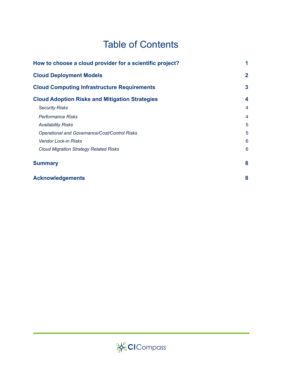# Table of Contents

| How to choose a cloud provider for a scientific project? |                |
|----------------------------------------------------------|----------------|
| <b>Cloud Deployment Models</b>                           |                |
| <b>Cloud Computing Infrastructure Requirements</b>       | 3              |
| <b>Cloud Adoption Risks and Mitigation Strategies</b>    | 4              |
| <b>Security Risks</b>                                    | $\overline{4}$ |
| Performance Risks                                        | $\overline{4}$ |
| <b>Availability Risks</b>                                | 5              |
| Operational and Governance/Cost/Control Risks            | 5              |
| <b>Vendor Lock-in Risks</b>                              | 6              |
| <b>Cloud Migration Strategy Related Risks</b>            | 6              |
| <b>Summary</b>                                           | 8              |
| <b>Acknowledgements</b>                                  | 8              |

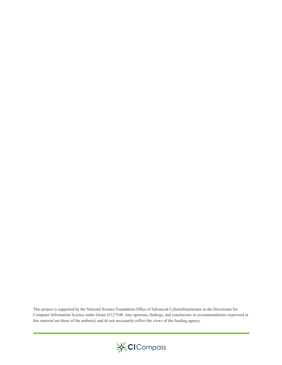This project is supported by the National Science Foundation Office of Advanced Cyberinfrastructure in the Directorate for Computer Information Science under Grant #2127548. Any opinions, findings, and conclusions or recommendations expressed in this material are those of the author(s) and do not necessarily reflect the views of the funding agency.

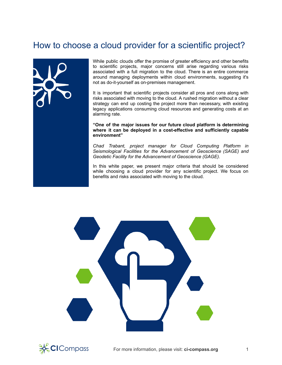# <span id="page-3-0"></span>How to choose a cloud provider for a scientific project?



While public clouds offer the promise of greater efficiency and other benefits to scientific projects, major concerns still arise regarding various risks associated with a full migration to the cloud. There is an entire commerce around managing deployments within cloud environments, suggesting it's not as do-it-yourself as on-premises management.

It is important that scientific projects consider all pros and cons along with risks associated with moving to the cloud. A rushed migration without a clear strategy can end up costing the project more than necessary, with existing legacy applications consuming cloud resources and generating costs at an alarming rate.

**"One of the major issues for our future cloud platform is determining where it can be deployed in a cost-effective and sufficiently capable environment"**

*Chad Trabant, project manager for Cloud Computing Platform in Seismological Facilities for the Advancement of Geoscience (SAGE) and Geodetic Facility for the Advancement of Geoscience (GAGE).*

In this white paper, we present major criteria that should be considered while choosing a cloud provider for any scientific project. We focus on benefits and risks associated with moving to the cloud.

<span id="page-3-1"></span>

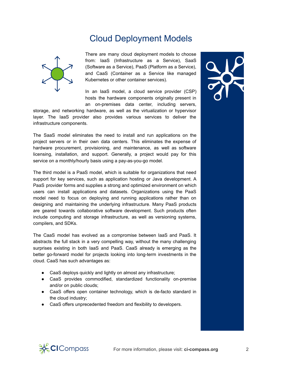# Cloud Deployment Models



There are many cloud deployment models to choose from: IaaS (Infrastructure as a Service), SaaS (Software as a Service), PaaS (Platform as a Service), and CaaS (Container as a Service like managed Kubernetes or other container services).

In an IaaS model, a cloud service provider (CSP) hosts the hardware components originally present in an on-premises data center, including servers,

storage, and networking hardware, as well as the virtualization or hypervisor layer. The IaaS provider also provides various services to deliver the infrastructure components.

The SaaS model eliminates the need to install and run applications on the project servers or in their own data centers. This eliminates the expense of hardware procurement, provisioning, and maintenance, as well as software licensing, installation, and support. Generally, a project would pay for this service on a monthly/hourly basis using a pay-as-you-go model.

The third model is a PaaS model, which is suitable for organizations that need support for key services, such as application hosting or Java development. A PaaS provider forms and supplies a strong and optimized environment on which users can install applications and datasets. Organizations using the PaaS model need to focus on deploying and running applications rather than on designing and maintaining the underlying infrastructure. Many PaaS products are geared towards collaborative software development. Such products often include computing and storage infrastructure, as well as versioning systems, compilers, and SDKs.

The CaaS model has evolved as a compromise between IaaS and PaaS. It abstracts the full stack in a very compelling way, without the many challenging surprises existing in both IaaS and PaaS. CaaS already is emerging as the better go-forward model for projects looking into long-term investments in the cloud. CaaS has such advantages as:

- CaaS deploys quickly and lightly on almost any infrastructure;
- CaaS provides commodified, standardized functionality on-premise and/or on public clouds;
- CaaS offers open container technology, which is de-facto standard in the cloud industry;
- CaaS offers unprecedented freedom and flexibility to developers.



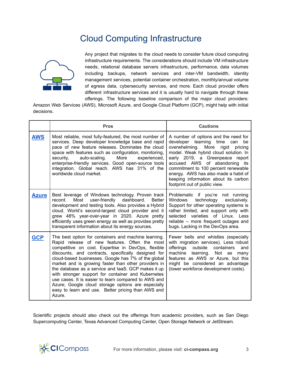# Cloud Computing Infrastructure

<span id="page-5-0"></span>

Any project that migrates to the cloud needs to consider future cloud computing infrastructure requirements. The considerations should include VM infrastructure needs, relational database servers infrastructure, performance, data volumes including backups, network services and inter-VM bandwidth, identity management services, potential container orchestration, monthly/annual volume of egress data, cybersecurity services, and more. Each cloud provider offers different infrastructure services and it is usually hard to navigate through these offerings. The following baseline comparison of the major cloud providers:

Amazon Web Services (AWS), Microsoft Azure, and Google Cloud Platform (GCP), might help with initial decisions.

|              | <b>Pros</b>                                                                                                                                                                                                                                                                                                                                                                                                                                                                                                                                                                                                                  | <b>Cautions</b>                                                                                                                                                                                                                                                                                                                                                                                |
|--------------|------------------------------------------------------------------------------------------------------------------------------------------------------------------------------------------------------------------------------------------------------------------------------------------------------------------------------------------------------------------------------------------------------------------------------------------------------------------------------------------------------------------------------------------------------------------------------------------------------------------------------|------------------------------------------------------------------------------------------------------------------------------------------------------------------------------------------------------------------------------------------------------------------------------------------------------------------------------------------------------------------------------------------------|
| <b>AWS</b>   | Most reliable, most fully-featured, the most number of<br>services. Deep developer knowledge base and rapid<br>pace of new feature releases. Dominates the cloud<br>space with features such as configuration, monitoring,<br>auto-scaling.<br>More<br>security,<br>experienced,<br>enterprise-friendly services. Good open-source tools<br>integration. Global reach. AWS has 31% of the<br>worldwide cloud market.                                                                                                                                                                                                         | A number of options and the need for<br>developer<br>learning time<br>can<br>be<br>overwhelming. More<br>rigid<br>pricing<br>model. Weak hybrid cloud solution. In<br>early 2019, a Greenpeace report<br>accused AWS of abandoning its<br>commitment to 100 percent renewable<br>energy. AWS has also made a habit of<br>keeping information about its carbon<br>footprint out of public view. |
| <b>Azure</b> | Best leverage of Windows technology. Proven track<br>Most<br>user-friendly<br>dashboard.<br>record.<br><b>Better</b><br>development and testing tools. Also provides a Hybrid<br>cloud. World's second-largest cloud provider and it<br>grew 48% year-over-year in 2020. Azure pretty<br>efficiently uses green energy as well as provides pretty<br>transparent information about its energy sources.                                                                                                                                                                                                                       | Problematic if you're not running<br>technology<br>Windows<br>exclusively.<br>Support for other operating systems is<br>rather limited, and support only with<br>selected varieties of Linux. Less<br>reliable – more frequent outages and<br>bugs. Lacking in the DevOps area.                                                                                                                |
| <b>GCP</b>   | The best option for containers and machine learning.<br>Rapid release of new features. Often the most<br>competitive on cost. Expertise in DevOps, flexible<br>discounts, and contracts, specifically designed for<br>cloud-based businesses. Google has 7% of the global<br>market and is growing faster than other providers in<br>the database as a service and laaS. GCP makes it up<br>with stronger support for container and Kubernetes<br>use cases. It is easier to learn compared to AWS and<br>Azure; Google cloud storage options are especially<br>easy to learn and use. Better pricing than AWS and<br>Azure. | Fewer bells and whistles (especially<br>with migration services). Less robust<br>offerings<br>outside<br>containers<br>and<br>machine<br>learning. Not as many<br>features as AWS or Azure, but this<br>might be considered an advantage<br>(lower workforce development costs).                                                                                                               |

Scientific projects should also check out the offerings from academic providers, such as San Diego Supercomputing Center, Texas Advanced Computing Center, Open Storage Network or JetStream.

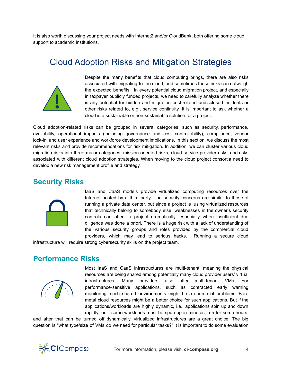<span id="page-6-0"></span>It is also worth discussing your project needs with [Internet2](https://internet2.edu/) and/or [CloudBank,](https://www.cloudbank.org/) both offering some cloud support to academic institutions.

### Cloud Adoption Risks and Mitigation Strategies



Despite the many benefits that cloud computing brings, there are also risks associated with migrating to the cloud, and sometimes these risks can outweigh the expected benefits. In every potential cloud migration project, and especially in taxpayer publicly funded projects, we need to carefully analyze whether there is any potential for hidden and migration cost-related undisclosed incidents or other risks related to, e.g., service continuity. It is important to ask whether a cloud is a sustainable or non-sustainable solution for a project.

Cloud adoption-related risks can be grouped in several categories, such as security, performance, availability, operational impacts (including governance and cost controllability), compliance, vendor lock-in, and user experience and workforce development implications. In this section, we discuss the most relevant risks and provide recommendations for risk mitigation. In addition, we can cluster various cloud migration risks into three major categories: mission-oriented risks, cloud service provider risks, and risks associated with different cloud adoption strategies. When moving to the cloud project consortia need to develop a new risk management profile and strategy.

#### <span id="page-6-1"></span>**Security Risks**



IaaS and CaaS models provide virtualized computing resources over the Internet hosted by a third party. The security concerns are similar to those of running a private data center, but since a project is using virtualized resources that technically belong to somebody else, weaknesses in the owner's security controls can affect a project dramatically, especially when insufficient due diligence was done a priori. There is a huge risk with a lack of understanding of the various security groups and roles provided by the commercial cloud providers, which may lead to serious hacks. Running a secure cloud

infrastructure will require strong cybersecurity skills on the project team.

#### <span id="page-6-2"></span>**Performance Risks**



Most IaaS and CaaS infrastructures are multi-tenant, meaning the physical resources are being shared among potentially many cloud provider users' virtual infrastructures. Many providers also offer multi-tenant VMs. For performance-sensitive applications, such as contracted early warning monitoring, such shared environments might be a source of problems. Bare metal cloud resources might be a better choice for such applications. But if the applications/workloads are highly dynamic, i.e., applications spin up and down rapidly, or if some workloads must be spun up in minutes, run for some hours,

and after that can be turned off dynamically, virtualized infrastructures are a great choice. The big question is "what type/size of VMs do we need for particular tasks?" It is important to do some evaluation

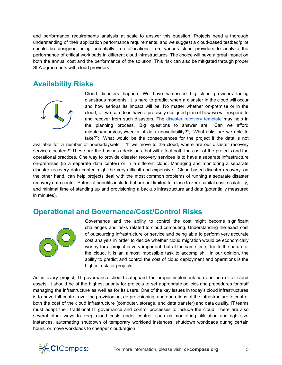and performance requirements analysis at scale to answer this question. Projects need a thorough understanding of their application performance requirements, and we suggest a cloud-based testbed/pilot should be designed using potentially free allocations from various cloud providers to analyze the performance of critical workloads in different cloud infrastructures. The choice will have a great impact on both the annual cost and the performance of the solution. This risk can also be mitigated through proper SLA agreements with cloud providers.

#### <span id="page-7-0"></span>**Availability Risks**



Cloud disasters happen. We have witnessed big cloud providers facing disastrous moments. It is hard to predict when a disaster in the cloud will occur and how serious its impact will be. No matter whether on-premise or in the cloud, all we can do is have a precisely designed plan of how we will respond to and recover from such disasters. The disaster recovery [template](https://ci-compass.org/resource-library/disaster-recovery-plan/) may help in the planning process. Big questions to answer are: "Can we afford minutes/hours/days/weeks of data unavailability?"; "What risks are we able to take?"; "What would be the consequences for the project if the data is not

available for a number of hours/days/etc."; "If we move to the cloud, where are our disaster recovery services located?" These are the business decisions that will affect both the cost of the projects and the operational practices. One way to provide disaster recovery services is to have a separate infrastructure on-premises (in a separate data center) or in a different cloud. Managing and monitoring a separate disaster recovery data center might be very difficult and expensive. Cloud-based disaster recovery, on the other hand, can help projects deal with the most common problems of running a separate disaster recovery data center. Potential benefits include but are not limited to: close to zero capital cost; scalability; and minimal time of standing up and provisioning a backup infrastructure and data (potentially measured in minutes).

#### <span id="page-7-1"></span>**Operational and Governance/Cost/Control Risks**



Governance and the ability to control the cost might become significant challenges and risks related to cloud computing. Understanding the exact cost of outsourcing infrastructure or service and being able to perform very accurate cost analysis in order to decide whether cloud migration would be economically worthy for a project is very important, but at the same time, due to the nature of the cloud, it is an almost impossible task to accomplish. In our opinion, the ability to predict and control the cost of cloud deployment and operations is the highest risk for projects.

As in every project, IT governance should safeguard the proper implementation and use of all cloud assets. It should be of the highest priority for projects to set appropriate policies and procedures for staff managing the infrastructure as well as for its users. One of the key issues in today's cloud infrastructures is to have full control over the provisioning, de-provisioning, and operations of the infrastructure to control both the cost of the cloud infrastructure (computer, storage, and data transfer) and data quality. IT teams must adapt their traditional IT governance and control processes to include the cloud. There are also several other ways to keep cloud costs under control, such as monitoring utilization and right-size instances, automating shutdown of temporary workload instances, shutdown workloads during certain hours, or move workloads to cheaper cloud/region.

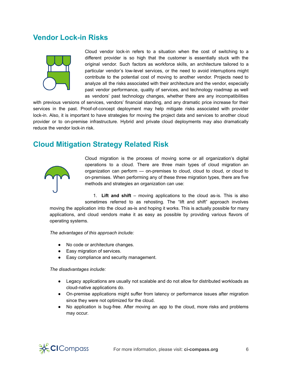#### <span id="page-8-0"></span>**Vendor Lock-in Risks**



Cloud vendor lock-in refers to a situation when the cost of switching to a different provider is so high that the customer is essentially stuck with the original vendor. Such factors as workforce skills, an architecture tailored to a particular vendor's low-level services, or the need to avoid interruptions might contribute to the potential cost of moving to another vendor. Projects need to analyze all the risks associated with their architecture and the vendor, especially past vendor performance, quality of services, and technology roadmap as well as vendors' past technology changes, whether there are any incompatibilities

with previous versions of services, vendors' financial standing, and any dramatic price increase for their services in the past. Proof-of-concept deployment may help mitigate risks associated with provider lock-in. Also, it is important to have strategies for moving the project data and services to another cloud provider or to on-premise infrastructure. Hybrid and private cloud deployments may also dramatically reduce the vendor lock-in risk.

#### <span id="page-8-1"></span>**Cloud Mitigation Strategy Related Risk**



Cloud migration is the process of moving some or all organization's digital operations to a cloud. There are three main types of cloud migration an organization can perform — on-premises to cloud, cloud to cloud, or cloud to on-premises. When performing any of these three migration types, there are five methods and strategies an organization can use:

1. **Lift and shift** – moving applications to the cloud as-is. This is also sometimes referred to as rehosting. The "lift and shift" approach involves

moving the application into the cloud as-is and hoping it works. This is actually possible for many applications, and cloud vendors make it as easy as possible by providing various flavors of operating systems.

*The advantages of this approach include:*

- No code or architecture changes.
- Easy migration of services.
- Easy compliance and security management.

*The disadvantages include:*

- Legacy applications are usually not scalable and do not allow for distributed workloads as cloud-native applications do.
- On-premise applications might suffer from latency or performance issues after migration since they were not optimized for the cloud.
- No application is bug-free. After moving an app to the cloud, more risks and problems may occur.

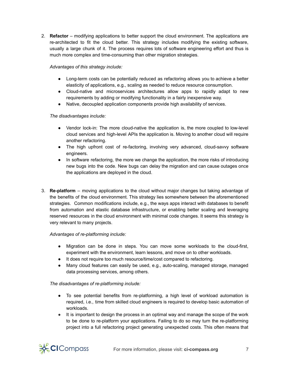2. **Refactor** – modifying applications to better support the cloud environment. The applications are re-architected to fit the cloud better. This strategy includes modifying the existing software, usually a large chunk of it. The process requires lots of software engineering effort and thus is much more complex and time-consuming than other migration strategies.

#### *Advantages of this strategy include:*

- Long-term costs can be potentially reduced as refactoring allows you to achieve a better elasticity of applications, e.g., scaling as needed to reduce resource consumption.
- Cloud-native and microservices architectures allow apps to rapidly adapt to new requirements by adding or modifying functionality in a fairly inexpensive way.
- Native, decoupled application components provide high availability of services.

#### *The disadvantages include:*

- Vendor lock-in: The more cloud-native the application is, the more coupled to low-level cloud services and high-level APIs the application is. Moving to another cloud will require another refactoring.
- The high upfront cost of re-factoring, involving very advanced, cloud-savvy software engineers.
- In software refactoring, the more we change the application, the more risks of introducing new bugs into the code. New bugs can delay the migration and can cause outages once the applications are deployed in the cloud.
- 3. **Re-platform** moving applications to the cloud without major changes but taking advantage of the benefits of the cloud environment. This strategy lies somewhere between the aforementioned strategies. Common modifications include, e.g., the ways apps interact with databases to benefit from automation and elastic database infrastructure, or enabling better scaling and leveraging reserved resources in the cloud environment with minimal code changes. It seems this strategy is very relevant to many projects.

#### *Advantages of re-platforming include:*

- Migration can be done in steps. You can move some workloads to the cloud-first, experiment with the environment, learn lessons, and move on to other workloads.
- It does not require too much resource/time/cost compared to refactoring.
- Many cloud features can easily be used, e.g., auto-scaling, managed storage, managed data processing services, among others.

#### *The disadvantages of re-platforming include:*

- To see potential benefits from re-platforming, a high level of workload automation is required, i.e., time from skilled cloud engineers is required to develop basic automation of workloads.
- It is important to design the process in an optimal way and manage the scope of the work to be done to re-platform your applications. Failing to do so may turn the re-platforming project into a full refactoring project generating unexpected costs. This often means that

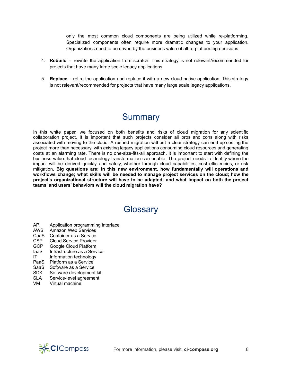only the most common cloud components are being utilized while re-platforming. Specialized components often require more dramatic changes to your application. Organizations need to be driven by the business value of all re-platforming decisions.

- 4. **Rebuild** rewrite the application from scratch. This strategy is not relevant/recommended for projects that have many large scale legacy applications.
- 5. **Replace** retire the application and replace it with a new cloud-native application. This strategy is not relevant/recommended for projects that have many large scale legacy applications.

# **Summary**

In this white paper, we focused on both benefits and risks of cloud migration for any scientific collaboration project. It is important that such projects consider all pros and cons along with risks associated with moving to the cloud. A rushed migration without a clear strategy can end up costing the project more than necessary, with existing legacy applications consuming cloud resources and generating costs at an alarming rate. There is no one-size-fits-all approach. It is important to start with defining the business value that cloud technology transformation can enable. The project needs to identify where the impact will be derived quickly and safely, whether through cloud capabilities, cost efficiencies, or risk mitigation. **Big questions are: in this new environment, how fundamentally will operations and workflows change; what skills will be needed to manage project services on the cloud; how the project's organizational structure will have to be adapted; and what impact on both the project teams' and users' behaviors will the cloud migration have?**

## **Glossary**

- <span id="page-10-0"></span>API Application programming interface
- AWS Amazon Web Services
- CaaS Container as a Service
- CSP Cloud Service Provider<br>GCP Google Cloud Platform
- Google Cloud Platform
- IaaS Infrastructure as a Service
- IT Information technology
- PaaS Platform as a Service
- 
- SaaS Software as a Service<br>SDK Software development Software development kit
- SLA Service-level agreement
- VM Virtual machine